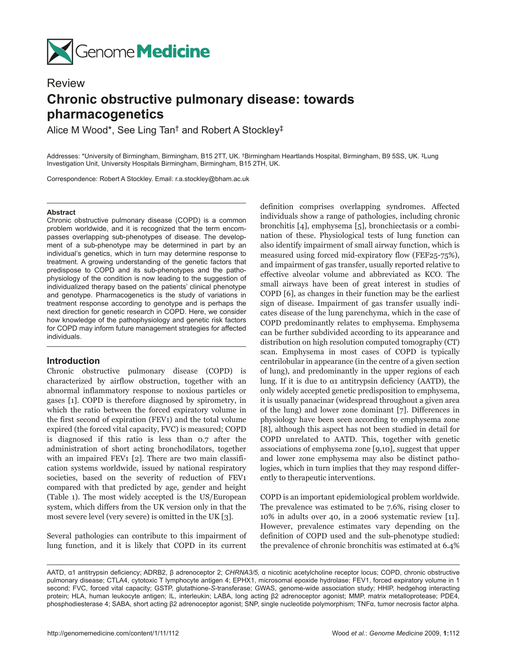

# **Review**

# **Chronic obstructive pulmonary disease: towards pharmacogenetics**

Alice M Wood\*, See Ling Tan† and Robert A Stockley‡

Addresses: \*University of Birmingham, Birmingham, B15 2TT, UK. †Birmingham Heartlands Hospital, Birmingham, B9 5SS, UK. ‡Lung Investigation Unit, University Hospitals Birmingham, Birmingham, B15 2TH, UK.

Correspondence: Robert A Stockley. Email: r.a.stockley@bham.ac.uk

## **Abstract**

Chronic obstructive pulmonary disease (COPD) is a common problem worldwide, and it is recognized that the term encompasses overlapping sub-phenotypes of disease. The development of a sub-phenotype may be determined in part by an individual's genetics, which in turn may determine response to treatment. A growing understanding of the genetic factors that predispose to COPD and its sub-phenotypes and the pathophysiology of the condition is now leading to the suggestion of individualized therapy based on the patients' clinical phenotype and genotype. Pharmacogenetics is the study of variations in treatment response according to genotype and is perhaps the next direction for genetic research in COPD. Here, we consider how knowledge of the pathophysiology and genetic risk factors for COPD may inform future management strategies for affected individuals.

# **Introduction**

Chronic obstructive pulmonary disease (COPD) is characterized by airflow obstruction, together with an abnormal inflammatory response to noxious particles or gases [1]. COPD is therefore diagnosed by spirometry, in which the ratio between the forced expiratory volume in the first second of expiration (FEV1) and the total volume expired (the forced vital capacity, FVC) is measured; COPD is diagnosed if this ratio is less than 0.7 after the administration of short acting bronchodilators, together with an impaired FEV1 [2]. There are two main classification systems worldwide, issued by national respiratory societies, based on the severity of reduction of FEV1 compared with that predicted by age, gender and height (Table 1). The most widely accepted is the US/European system, which differs from the UK version only in that the most severe level (very severe) is omitted in the UK [3].

Several pathologies can contribute to this impairment of lung function, and it is likely that COPD in its current definition comprises overlapping syndromes. Affected individuals show a range of pathologies, including chronic bronchitis [4], emphysema [5], bronchiectasis or a combination of these. Physiological tests of lung function can also identify impairment of small airway function, which is measured using forced mid-expiratory flow (FEF25-75%), and impairment of gas transfer, usually reported relative to effective alveolar volume and abbreviated as KCO. The small airways have been of great interest in studies of COPD [6], as changes in their function may be the earliest sign of disease. Impairment of gas transfer usually indicates disease of the lung parenchyma, which in the case of COPD predominantly relates to emphysema. Emphysema can be further subdivided according to its appearance and distribution on high resolution computed tomography (CT) scan. Emphysema in most cases of COPD is typically centrilobular in appearance (in the centre of a given section of lung), and predominantly in the upper regions of each lung. If it is due to α1 antitrypsin deficiency (AATD), the only widely accepted genetic predisposition to emphysema, it is usually panacinar (widespread throughout a given area of the lung) and lower zone dominant [7]. Differences in physiology have been seen according to emphysema zone [8], although this aspect has not been studied in detail for COPD unrelated to AATD. This, together with genetic associations of emphysema zone [9,10], suggest that upper and lower zone emphysema may also be distinct pathologies, which in turn implies that they may respond differently to therapeutic interventions.

COPD is an important epidemiological problem worldwide. The prevalence was estimated to be 7.6%, rising closer to 10% in adults over 40, in a 2006 systematic review [11]. However, prevalence estimates vary depending on the definition of COPD used and the sub-phenotype studied: the prevalence of chronic bronchitis was estimated at 6.4%

AATD, α1 antitrypsin deficiency; ADRB2, β adrenoceptor 2; *CHRNA3/5,* α nicotinic acetylcholine receptor locus; COPD, chronic obstructive pulmonary disease; CTLA4, cytotoxic T lymphocyte antigen 4; EPHX1, microsomal epoxide hydrolase; FEV1, forced expiratory volume in 1 second; FVC, forced vital capacity; GSTP, glutathione-*S*-transferase; GWAS, genome-wide association study; HHIP, hedgehog interacting protein; HLA, human leukocyte antigen; IL, interleukin; LABA, long acting β2 adrenoceptor agonist; MMP, matrix metalloprotease; PDE4, phosphodiesterase 4; SABA, short acting β2 adrenoceptor agonist; SNP, single nucleotide polymorphism; TNFα, tumor necrosis factor alpha.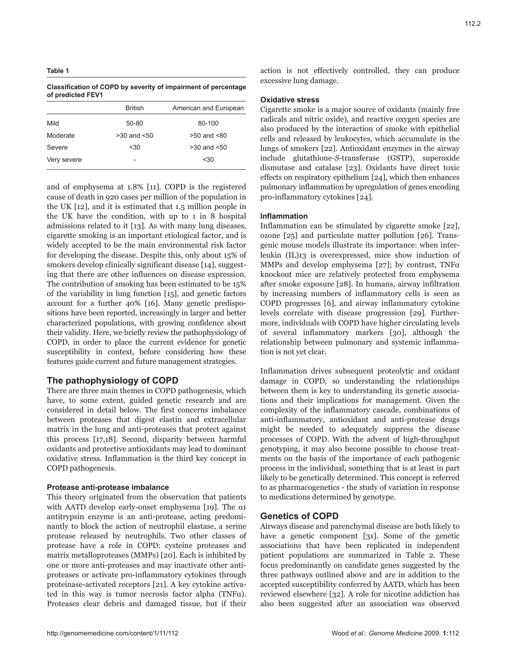## **Table 1**

**Classification of COPD by severity of impairment of percentage of predicted FEV1**

|             | <b>British</b>           | American and European |
|-------------|--------------------------|-----------------------|
| Mild        | 50-80                    | 80-100                |
| Moderate    | $>30$ and $< 50$         | $>50$ and $< 80$      |
| Severe      | < 30                     | $>30$ and $< 50$      |
| Very severe | $\overline{\phantom{a}}$ | < 30                  |

and of emphysema at 1.8% [11]. COPD is the registered cause of death in 920 cases per million of the population in the UK [12], and it is estimated that 1.5 million people in the UK have the condition, with up to 1 in 8 hospital admissions related to it [13]. As with many lung diseases, cigarette smoking is an important etiological factor, and is widely accepted to be the main environmental risk factor for developing the disease. Despite this, only about 15% of smokers develop clinically significant disease [14], suggesting that there are other influences on disease expression. The contribution of smoking has been estimated to be 15% of the variability in lung function [15], and genetic factors account for a further 40% [16]. Many genetic predispositions have been reported, increasingly in larger and better characterized populations, with growing confidence about their validity. Here, we briefly review the pathophysiology of COPD, in order to place the current evidence for genetic susceptibility in context, before considering how these features guide current and future management strategies.

# **The pathophysiology of COPD**

There are three main themes in COPD pathogenesis, which have, to some extent, guided genetic research and are considered in detail below. The first concerns imbalance between proteases that digest elastin and extracellular matrix in the lung and anti-proteases that protect against this process [17,18]. Second, disparity between harmful oxidants and protective antioxidants may lead to dominant oxidative stress. Inflammation is the third key concept in COPD pathogenesis.

# **Protease anti-protease imbalance**

This theory originated from the observation that patients with AATD develop early-onset emphysema [19]. The α1 antitrypsin enzyme is an anti-protease, acting predominantly to block the action of neutrophil elastase, a serine protease released by neutrophils. Two other classes of protease have a role in COPD: cysteine proteases and matrix metalloproteases (MMPs) [20]. Each is inhibited by one or more anti-proteases and may inactivate other antiproteases or activate pro-inflammatory cytokines through proteinase-activated receptors [21]. A key cytokine activated in this way is tumor necrosis factor alpha (TNFα). Proteases clear debris and damaged tissue, but if their

### **Oxidative stress**

excessive lung damage.

Cigarette smoke is a major source of oxidants (mainly free radicals and nitric oxide), and reactive oxygen species are also produced by the interaction of smoke with epithelial cells and released by leukocytes, which accumulate in the lungs of smokers [22]. Antioxidant enzymes in the airway include glutathione-*S*-transferase (GSTP), superoxide dismutase and catalase [23]. Oxidants have direct toxic effects on respiratory epithelium [24], which then enhances pulmonary inflammation by upregulation of genes encoding pro-inflammatory cytokines [24].

## **Inflammation**

Inflammation can be stimulated by cigarette smoke [22], ozone [25] and particulate matter pollution [26]. Transgenic mouse models illustrate its importance: when interleukin (IL)13 is overexpressed, mice show induction of MMPs and develop emphysema [27]; by contrast, TNFα knockout mice are relatively protected from emphysema after smoke exposure [28]. In humans, airway infiltration by increasing numbers of inflammatory cells is seen as COPD progresses [6], and airway inflammatory cytokine levels correlate with disease progression [29]. Furthermore, individuals with COPD have higher circulating levels of several inflammatory markers [30], although the relationship between pulmonary and systemic inflammation is not yet clear.

Inflammation drives subsequent proteolytic and oxidant damage in COPD, so understanding the relationships between them is key to understanding its genetic associations and their implications for management. Given the complexity of the inflammatory cascade, combinations of anti-inflammatory, antioxidant and anti-protease drugs might be needed to adequately suppress the disease processes of COPD. With the advent of high-throughput genotyping, it may also become possible to choose treatments on the basis of the importance of each pathogenic process in the individual, something that is at least in part likely to be genetically determined. This concept is referred to as pharmacogenetics - the study of variation in response to medications determined by genotype.

# **Genetics of COPD**

Airways disease and parenchymal disease are both likely to have a genetic component [31]. Some of the genetic associations that have been replicated in independent patient populations are summarized in Table 2. These focus predominantly on candidate genes suggested by the three pathways outlined above and are in addition to the accepted susceptibility conferred by AATD, which has been reviewed elsewhere [32]. A role for nicotine addiction has also been suggested after an association was observed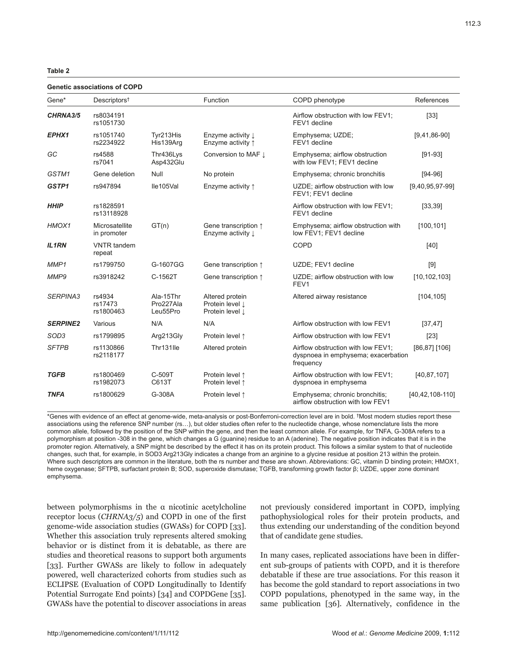#### **Genetic associations of COPD**

| eneuc associations of oor L |                                |                                    |                                                        |                                                                                        |                   |  |  |  |  |
|-----------------------------|--------------------------------|------------------------------------|--------------------------------------------------------|----------------------------------------------------------------------------------------|-------------------|--|--|--|--|
| Gene*                       | Descriptors <sup>†</sup>       |                                    | Function                                               | COPD phenotype                                                                         | References        |  |  |  |  |
| CHRNA3/5                    | rs8034191<br>rs1051730         |                                    |                                                        | Airflow obstruction with low FEV1;<br>FEV1 decline                                     | [33]              |  |  |  |  |
| EPHX1                       | rs1051740<br>rs2234922         | Tyr213His<br>His139Arg             | Enzyme activity L<br>Enzyme activity 1                 | Emphysema; UZDE;<br>FEV1 decline                                                       | $[9,41,86-90]$    |  |  |  |  |
| GC                          | rs4588<br>rs7041               | Thr436Lys<br>Asp432Glu             | Conversion to MAF $\downarrow$                         | Emphysema; airflow obstruction<br>with low FEV1; FEV1 decline                          | $[91-93]$         |  |  |  |  |
| GSTM1                       | Gene deletion                  | Null                               | No protein                                             | Emphysema; chronic bronchitis                                                          | $[94-96]$         |  |  |  |  |
| GSTP1                       | rs947894                       | Ile105Val                          | Enzyme activity $\uparrow$                             | UZDE; airflow obstruction with low<br>FEV1; FEV1 decline                               | $[9,40,95,97-99]$ |  |  |  |  |
| <b>HHIP</b>                 | rs1828591<br>rs13118928        |                                    |                                                        | Airflow obstruction with low FEV1;<br>FEV1 decline                                     | [33, 39]          |  |  |  |  |
| HMOX1                       | Microsatellite<br>in promoter  | GT(n)                              | Gene transcription $\uparrow$<br>Enzyme activity L     | Emphysema; airflow obstruction with<br>low FEV1; FEV1 decline                          | [100, 101]        |  |  |  |  |
| <b>IL1RN</b>                | <b>VNTR</b> tandem<br>repeat   |                                    |                                                        | <b>COPD</b>                                                                            | [40]              |  |  |  |  |
| MMP1                        | rs1799750                      | G-1607GG                           | Gene transcription $\uparrow$                          | UZDE; FEV1 decline                                                                     | $[9]$             |  |  |  |  |
| MMP9                        | rs3918242                      | C-1562T                            | Gene transcription $\uparrow$                          | UZDE; airflow obstruction with low<br>FEV1                                             | [10, 102, 103]    |  |  |  |  |
| <b>SERPINA3</b>             | rs4934<br>rs17473<br>rs1800463 | Ala-15Thr<br>Pro227Ala<br>Leu55Pro | Altered protein<br>Protein level I.<br>Protein level 1 | Altered airway resistance                                                              | [104, 105]        |  |  |  |  |
| <b>SERPINE2</b>             | Various                        | N/A                                | N/A                                                    | Airflow obstruction with low FEV1                                                      | [37, 47]          |  |  |  |  |
| SOD <sub>3</sub>            | rs1799895                      | Arg213Gly                          | Protein level 1                                        | Airflow obstruction with low FEV1                                                      | $[23]$            |  |  |  |  |
| <b>SFTPB</b>                | rs1130866<br>rs2118177         | Thr131lle                          | Altered protein                                        | Airflow obstruction with low FEV1;<br>dyspnoea in emphysema; exacerbation<br>frequency | [86,87] [106]     |  |  |  |  |
| <b>TGFB</b>                 | rs1800469<br>rs1982073         | C-509T<br>C613T                    | Protein level 1<br>Protein level 1                     | Airflow obstruction with low FEV1;<br>dyspnoea in emphysema                            | [40, 87, 107]     |  |  |  |  |
| <b>TNFA</b>                 | rs1800629                      | G-308A                             | Protein level 1                                        | Emphysema; chronic bronchitis;<br>airflow obstruction with low FEV1                    | [40,42,108-110]   |  |  |  |  |

\*Genes with evidence of an effect at genome-wide, meta-analysis or post-Bonferroni-correction level are in bold. †Most modern studies report these associations using the reference SNP number (rs…), but older studies often refer to the nucleotide change, whose nomenclature lists the more common allele, followed by the position of the SNP within the gene, and then the least common allele. For example, for TNFA, G-308A refers to a polymorphism at position -308 in the gene, which changes a G (guanine) residue to an A (adenine). The negative position indicates that it is in the promoter region. Alternatively, a SNP might be described by the effect it has on its protein product. This follows a similar system to that of nucleotide changes, such that, for example, in SOD3 Arg213Gly indicates a change from an arginine to a glycine residue at position 213 within the protein. Where such descriptors are common in the literature, both the rs number and these are shown. Abbreviations: GC, vitamin D binding protein; HMOX1, heme oxygenase; SFTPB, surfactant protein B; SOD, superoxide dismutase; TGFB, transforming growth factor β; UZDE, upper zone dominant emphysema.

between polymorphisms in the  $\alpha$  nicotinic acetylcholine receptor locus (*CHRNA3/5*) and COPD in one of the first genome-wide association studies (GWASs) for COPD [33]. Whether this association truly represents altered smoking behavior or is distinct from it is debatable, as there are studies and theoretical reasons to support both arguments [33]. Further GWASs are likely to follow in adequately powered, well characterized cohorts from studies such as ECLIPSE (Evaluation of COPD Longitudinally to Identify Potential Surrogate End points) [34] and COPDGene [35]. GWASs have the potential to discover associations in areas

not previously considered important in COPD, implying pathophysiological roles for their protein products, and thus extending our understanding of the condition beyond that of candidate gene studies.

In many cases, replicated associations have been in different sub-groups of patients with COPD, and it is therefore debatable if these are true associations. For this reason it has become the gold standard to report associations in two COPD populations, phenotyped in the same way, in the same publication [36]. Alternatively, confidence in the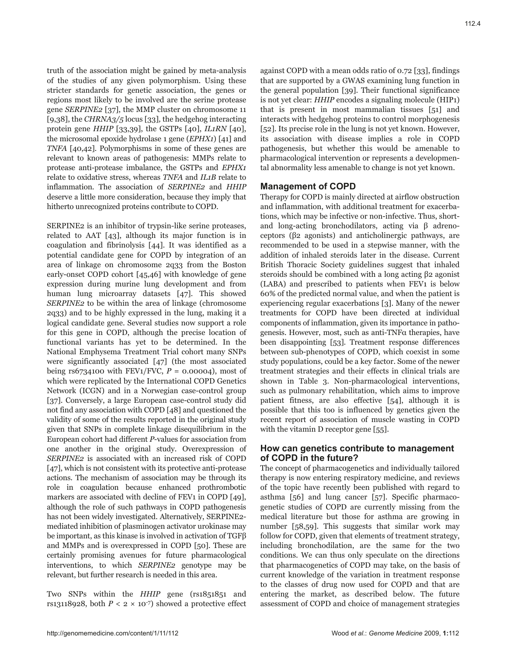truth of the association might be gained by meta-analysis of the studies of any given polymorphism. Using these stricter standards for genetic association, the genes or regions most likely to be involved are the serine protease gene *SERPINE2* [37], the MMP cluster on chromosome 11 [9,38], the *CHRNA3/5* locus [33]*,* the hedgehog interacting protein gene *HHIP* [33,39], the GSTPs [40], *IL1RN* [40], the microsomal epoxide hydrolase 1 gene (*EPHX1*) [41] and *TNFA* [40,42]. Polymorphisms in some of these genes are relevant to known areas of pathogenesis: MMPs relate to protease anti-protease imbalance, the GSTPs and *EPHX1* relate to oxidative stress, whereas *TNFA* and *IL1B* relate to inflammation. The association of *SERPINE2* and *HHIP* deserve a little more consideration, because they imply that hitherto unrecognized proteins contribute to COPD.

SERPINE2 is an inhibitor of trypsin-like serine proteases, related to AAT [43], although its major function is in coagulation and fibrinolysis [44]. It was identified as a potential candidate gene for COPD by integration of an area of linkage on chromosome 2q33 from the Boston early-onset COPD cohort [45,46] with knowledge of gene expression during murine lung development and from human lung microarray datasets [47]. This showed *SERPINE2* to be within the area of linkage (chromosome 2q33) and to be highly expressed in the lung, making it a logical candidate gene. Several studies now support a role for this gene in COPD, although the precise location of functional variants has yet to be determined. In the National Emphysema Treatment Trial cohort many SNPs were significantly associated [47] (the most associated being  $rs6734100$  with  $FEV1/FVC$ ,  $P = 0.00004$ ), most of which were replicated by the International COPD Genetics Network (ICGN) and in a Norwegian case-control group [37]. Conversely, a large European case-control study did not find any association with COPD [48] and questioned the validity of some of the results reported in the original study given that SNPs in complete linkage disequilibrium in the European cohort had different *P*-values for association from one another in the original study. Overexpression of *SERPINE2* is associated with an increased risk of COPD [47], which is not consistent with its protective anti-protease actions. The mechanism of association may be through its role in coagulation because enhanced prothrombotic markers are associated with decline of FEV1 in COPD [49], although the role of such pathways in COPD pathogenesis has not been widely investigated. Alternatively, SERPINE2mediated inhibition of plasminogen activator urokinase may be important, as this kinase is involved in activation of TGFβ and MMPs and is overexpressed in COPD [50]. These are certainly promising avenues for future pharmacological interventions, to which *SERPINE2* genotype may be relevant, but further research is needed in this area.

Two SNPs within the *HHIP* gene (rs1851851 and rs13118928, both  $P < 2 \times 10^{-7}$ ) showed a protective effect against COPD with a mean odds ratio of 0.72 [33], findings that are supported by a GWAS examining lung function in the general population [39]. Their functional significance is not yet clear: *HHIP* encodes a signaling molecule (HIP1) that is present in most mammalian tissues [51] and interacts with hedgehog proteins to control morphogenesis [52]. Its precise role in the lung is not yet known. However, its association with disease implies a role in COPD pathogenesis, but whether this would be amenable to pharmacological intervention or represents a developmental abnormality less amenable to change is not yet known.

# **Management of COPD**

Therapy for COPD is mainly directed at airflow obstruction and inflammation, with additional treatment for exacerbations, which may be infective or non-infective. Thus, shortand long-acting bronchodilators, acting via β adrenoceptors (β2 agonists) and anticholinergic pathways, are recommended to be used in a stepwise manner, with the addition of inhaled steroids later in the disease. Current British Thoracic Society guidelines suggest that inhaled steroids should be combined with a long acting β2 agonist (LABA) and prescribed to patients when FEV1 is below 60% of the predicted normal value, and when the patient is experiencing regular exacerbations [3]. Many of the newer treatments for COPD have been directed at individual components of inflammation, given its importance in pathogenesis. However, most, such as anti-TNFα therapies, have been disappointing [53]. Treatment response differences between sub-phenotypes of COPD, which coexist in some study populations, could be a key factor. Some of the newer treatment strategies and their effects in clinical trials are shown in Table 3. Non-pharmacological interventions, such as pulmonary rehabilitation, which aims to improve patient fitness, are also effective [54], although it is possible that this too is influenced by genetics given the recent report of association of muscle wasting in COPD with the vitamin D receptor gene [55].

# **How can genetics contribute to management of COPD in the future?**

The concept of pharmacogenetics and individually tailored therapy is now entering respiratory medicine, and reviews of the topic have recently been published with regard to asthma [56] and lung cancer [57]. Specific pharmacogenetic studies of COPD are currently missing from the medical literature but those for asthma are growing in number [58,59]. This suggests that similar work may follow for COPD, given that elements of treatment strategy, including bronchodilation, are the same for the two conditions. We can thus only speculate on the directions that pharmacogenetics of COPD may take, on the basis of current knowledge of the variation in treatment response to the classes of drug now used for COPD and that are entering the market, as described below. The future assessment of COPD and choice of management strategies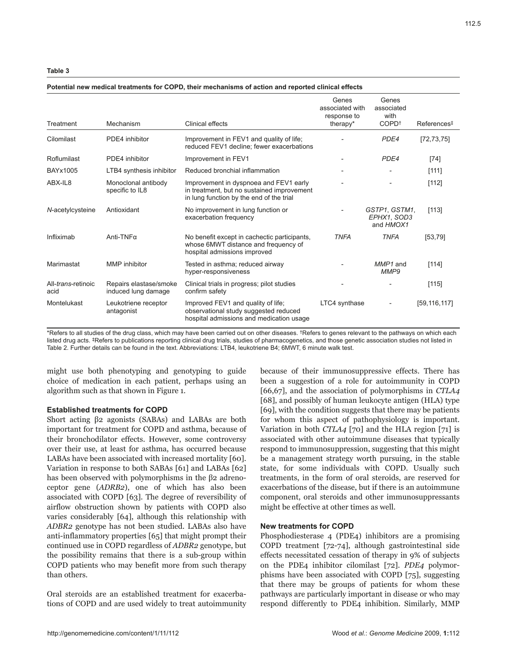| Treatment                           | Mechanism                                     | <b>Clinical effects</b>                                                                                                          | Genes<br>associated with<br>response to<br>therapy* | Genes<br>associated<br>with<br>COPD <sup>+</sup> | References <sup>‡</sup> |
|-------------------------------------|-----------------------------------------------|----------------------------------------------------------------------------------------------------------------------------------|-----------------------------------------------------|--------------------------------------------------|-------------------------|
| Cilomilast                          | PDE4 inhibitor                                | Improvement in FEV1 and quality of life;<br>reduced FEV1 decline; fewer exacerbations                                            |                                                     | PDE4                                             | [72, 73, 75]            |
| Roflumilast                         | PDE4 inhibitor                                | Improvement in FEV1                                                                                                              | -                                                   | PDE4                                             | $[74]$                  |
| BAYx1005                            | LTB4 synthesis inhibitor                      | Reduced bronchial inflammation                                                                                                   | $\qquad \qquad -$                                   |                                                  | [111]                   |
| ABX-IL8                             | Monoclonal antibody<br>specific to IL8        | Improvement in dyspnoea and FEV1 early<br>in treatment, but no sustained improvement<br>in lung function by the end of the trial |                                                     |                                                  | $[112]$                 |
| N-acetylcysteine                    | Antioxidant                                   | No improvement in lung function or<br>exacerbation frequency                                                                     | $\overline{\phantom{0}}$                            | GSTP1, GSTM1,<br>EPHX1. SOD3<br>and HMOX1        | [113]                   |
| Infliximab                          | Anti-TNF $\alpha$                             | No benefit except in cachectic participants,<br>whose 6MWT distance and frequency of<br>hospital admissions improved             | <b>TNFA</b>                                         | <b>TNFA</b>                                      | [53, 79]                |
| Marimastat                          | MMP inhibitor                                 | Tested in asthma; reduced airway<br>hyper-responsiveness                                                                         |                                                     | MMP1 and<br>MMP9                                 | [114]                   |
| All- <i>trans</i> -retinoic<br>acid | Repairs elastase/smoke<br>induced lung damage | Clinical trials in progress; pilot studies<br>confirm safety                                                                     |                                                     |                                                  | [115]                   |
| Montelukast                         | Leukotriene receptor<br>antagonist            | Improved FEV1 and quality of life:<br>observational study suggested reduced<br>hospital admissions and medication usage          | LTC4 synthase                                       |                                                  | [59, 116, 117]          |

# **Potential new medical treatments for COPD, their mechanisms of action and reported clinical effects**

\*Refers to all studies of the drug class, which may have been carried out on other diseases. †Refers to genes relevant to the pathways on which each listed drug acts. ‡Refers to publications reporting clinical drug trials, studies of pharmacogenetics, and those genetic association studies not listed in Table 2. Further details can be found in the text. Abbreviations: LTB4, leukotriene B4; 6MWT, 6 minute walk test.

might use both phenotyping and genotyping to guide choice of medication in each patient, perhaps using an algorithm such as that shown in Figure 1.

## **Established treatments for COPD**

Short acting β2 agonists (SABAs) and LABAs are both important for treatment for COPD and asthma, because of their bronchodilator effects. However, some controversy over their use, at least for asthma, has occurred because LABAs have been associated with increased mortality [60]. Variation in response to both SABAs [61] and LABAs [62] has been observed with polymorphisms in the β2 adrenoceptor gene (*ADRB2*), one of which has also been associated with COPD [63]. The degree of reversibility of airflow obstruction shown by patients with COPD also varies considerably [64], although this relationship with *ADBR2* genotype has not been studied. LABAs also have anti-inflammatory properties [65] that might prompt their continued use in COPD regardless of *ADBR2* genotype, but the possibility remains that there is a sub-group within COPD patients who may benefit more from such therapy than others.

Oral steroids are an established treatment for exacerbations of COPD and are used widely to treat autoimmunity because of their immunosuppressive effects. There has been a suggestion of a role for autoimmunity in COPD [66,67], and the association of polymorphisms in *CTLA4* [68], and possibly of human leukocyte antigen (HLA) type [69], with the condition suggests that there may be patients for whom this aspect of pathophysiology is important. Variation in both *CTLA4* [70] and the HLA region [71] is associated with other autoimmune diseases that typically respond to immunosuppression, suggesting that this might be a management strategy worth pursuing, in the stable state, for some individuals with COPD. Usually such treatments, in the form of oral steroids, are reserved for exacerbations of the disease, but if there is an autoimmune component, oral steroids and other immunosuppressants might be effective at other times as well.

#### **New treatments for COPD**

Phosphodiesterase 4 (PDE4) inhibitors are a promising COPD treatment [72-74], although gastrointestinal side effects necessitated cessation of therapy in 9% of subjects on the PDE4 inhibitor cilomilast [72]. *PDE4* polymorphisms have been associated with COPD [75], suggesting that there may be groups of patients for whom these pathways are particularly important in disease or who may respond differently to PDE4 inhibition. Similarly, MMP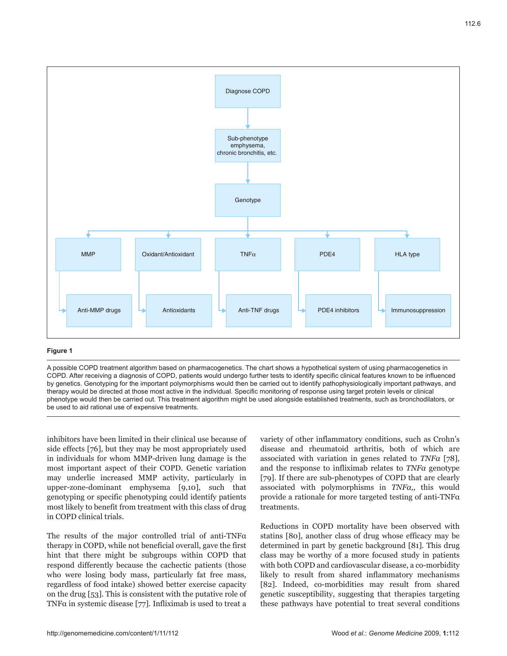

# **Figure 1**

A possible COPD treatment algorithm based on pharmacogenetics. The chart shows a hypothetical system of using pharmacogenetics in COPD. After receiving a diagnosis of COPD, patients would undergo further tests to identify specific clinical features known to be influenced by genetics. Genotyping for the important polymorphisms would then be carried out to identify pathophysiologically important pathways, and therapy would be directed at those most active in the individual. Specific monitoring of response using target protein levels or clinical phenotype would then be carried out. This treatment algorithm might be used alongside established treatments, such as bronchodilators, or be used to aid rational use of expensive treatments.

inhibitors have been limited in their clinical use because of side effects [76], but they may be most appropriately used in individuals for whom MMP-driven lung damage is the most important aspect of their COPD. Genetic variation may underlie increased MMP activity, particularly in upper-zone-dominant emphysema [9,10], such that genotyping or specific phenotyping could identify patients most likely to benefit from treatment with this class of drug in COPD clinical trials.

The results of the major controlled trial of anti-TNFα therapy in COPD, while not beneficial overall, gave the first hint that there might be subgroups within COPD that respond differently because the cachectic patients (those who were losing body mass, particularly fat free mass, regardless of food intake) showed better exercise capacity on the drug [53]. This is consistent with the putative role of TNF $\alpha$  in systemic disease [77]. Infliximab is used to treat a

variety of other inflammatory conditions, such as Crohn's disease and rheumatoid arthritis, both of which are associated with variation in genes related to *TNFα* [78], and the response to infliximab relates to *TNFα* genotype [79]. If there are sub-phenotypes of COPD that are clearly associated with polymorphisms in *TNFα,*, this would provide a rationale for more targeted testing of anti-TNFα treatments.

Reductions in COPD mortality have been observed with statins [80], another class of drug whose efficacy may be determined in part by genetic background [81]. This drug class may be worthy of a more focused study in patients with both COPD and cardiovascular disease, a co-morbidity likely to result from shared inflammatory mechanisms [82]. Indeed, co-morbidities may result from shared genetic susceptibility, suggesting that therapies targeting these pathways have potential to treat several conditions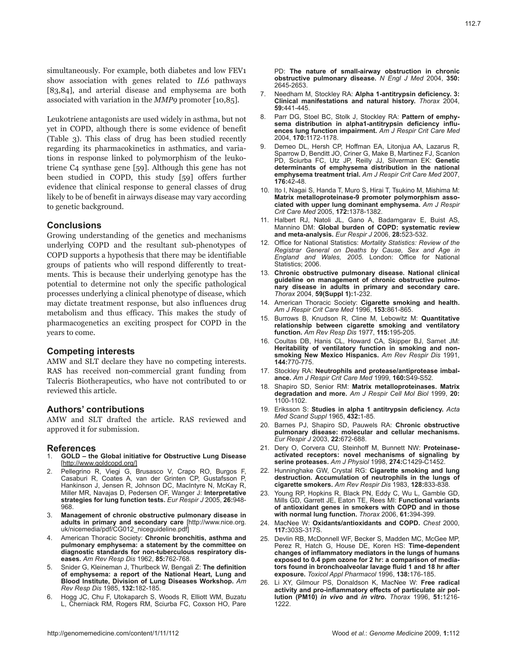simultaneously. For example, both diabetes and low FEV1 show association with genes related to *IL6* pathways [83,84], and arterial disease and emphysema are both associated with variation in the *MMP9* promoter [10,85].

Leukotriene antagonists are used widely in asthma, but not yet in COPD, although there is some evidence of benefit (Table 3). This class of drug has been studied recently regarding its pharmacokinetics in asthmatics, and variations in response linked to polymorphism of the leukotriene C4 synthase gene [59]. Although this gene has not been studied in COPD, this study [59] offers further evidence that clinical response to general classes of drug likely to be of benefit in airways disease may vary according to genetic background.

# **Conclusions**

Growing understanding of the genetics and mechanisms underlying COPD and the resultant sub-phenotypes of COPD supports a hypothesis that there may be identifiable groups of patients who will respond differently to treatments. This is because their underlying genotype has the potential to determine not only the specific pathological processes underlying a clinical phenotype of disease, which may dictate treatment response, but also influences drug metabolism and thus efficacy. This makes the study of pharmacogenetics an exciting prospect for COPD in the years to come.

# **Competing interests**

AMW and SLT declare they have no competing interests. RAS has received non-commercial grant funding from Talecris Biotherapeutics, who have not contributed to or reviewed this article.

## **Authors' contributions**

AMW and SLT drafted the article. RAS reviewed and approved it for submission.

# **References**

- 1. **GOLD the Global initiative for Obstructive Lung Disease**  [http://www.goldcopd.org/]
- 2. Pellegrino R, Viegi G, Brusasco V, Crapo RO, Burgos F, Casaburi R, Coates A, van der Grinten CP, Gustafsson P, Hankinson J, Jensen R, Johnson DC, MacIntyre N, McKay R, Miller MR, Navajas D, Pedersen OF, Wanger J: **Interpretative strategies for lung function tests.** *Eur Respir J* 2005, **26:**948- 968.
- 3. **Management of chronic obstructive pulmonary disease in adults in primary and secondary care** [http://www.nice.org. uk/nicemedia/pdf/CG012\_niceguideline.pdf]
- 4. American Thoracic Society: **Chronic bronchitis, asthma and pulmonary emphysema: a statement by the committee on diagnostic standards for non-tuberculous respiratory diseases.** *Am Rev Resp Dis* 1962, **85:**762-768.
- 5. Snider G, Kleineman J, Thurlbeck W, Bengali Z: **The definition of emphysema: a report of the National Heart, Lung and Blood Institute, Division of Lung Diseases Workshop.** *Am Rev Resp Dis* 1985, **132:**182-185.
- 6. Hogg JC, Chu F, Utokaparch S, Woods R, Elliott WM, Buzatu L, Cherniack RM, Rogers RM, Sciurba FC, Coxson HO, Pare

PD: **The nature of small-airway obstruction in chronic obstructive pulmonary disease.** *N Engl J Med* 2004, **350:** 2645-2653.

- 7. Needham M, Stockley RA: **Alpha 1-antitrypsin deficiency. 3: Clinical manifestations and natural history.** *Thorax* 2004, **59:**441-445.
- 8. Parr DG, Stoel BC, Stolk J, Stockley RA: **Pattern of emphysema distribution in alpha1-antitrypsin deficiency influences lung function impairment.** *Am J Respir Crit Care Med*  2004, **170:**1172-1178.
- 9. Demeo DL, Hersh CP, Hoffman EA, Litonjua AA, Lazarus R, Sparrow D, Benditt JO, Criner G, Make B, Martinez FJ, Scanlon PD, Sciurba FC, Utz JP, Reilly JJ, Silverman EK: **Genetic determinants of emphysema distribution in the national emphysema treatment trial.** *Am J Respir Crit Care Med* 2007, **176:**42-48.
- 10. Ito I, Nagai S, Handa T, Muro S, Hirai T, Tsukino M, Mishima M: **Matrix metalloproteinase-9 promoter polymorphism associated with upper lung dominant emphysema.** *Am J Respir Crit Care Med* 2005, **172:**1378-1382.
- 11. Halbert RJ, Natoli JL, Gano A, Badamgarav E, Buist AS, Mannino DM: **Global burden of COPD: systematic review and meta-analysis.** *Eur Respir J* 2006, **28:**523-532.
- 12. Office for National Statistics: *Mortality Statistics: Review of the Registrar General on Deaths by Cause, Sex and Age in England and Wales, 2005.* London: Office for National Statistics; 2006.
- 13. **Chronic obstructive pulmonary disease. National clinical guideline on management of chronic obstructive pulmonary disease in adults in primary and secondary care.** *Thorax* 2004, **59(Suppl 1):**1-232.
- 14. American Thoracic Society: **Cigarette smoking and health.**  *Am J Respir Crit Care Med* 1996, **153:**861-865.
- 15. Burrows B, Knudson R, Cline M, Lebowitz M: **Quantitative relationship between cigarette smoking and ventilatory function.** *Am Rev Resp Dis* 1977, **115:**195-205.
- 16. Coultas DB, Hanis CL, Howard CA, Skipper BJ, Samet JM: **Heritability of ventilatory function in smoking and nonsmoking New Mexico Hispanics.** *Am Rev Respir Dis* 1991, **144:**770-775.
- 17. Stockley RA: **Neutrophils and protease/antiprotease imbalance.** *Am J Respir Crit Care Med* 1999, **160:**S49-S52.
- 18. Shapiro SD, Senior RM: **Matrix metalloproteinases. Matrix degradation and more.** *Am J Respir Cell Mol Biol* 1999, **20:** 1100-1102.
- 19. Eriksson S: **Studies in alpha 1 antitrypsin deficiency.** *Acta Med Scand Suppl* 1965, **432:**1-85.
- 20. Barnes PJ, Shapiro SD, Pauwels RA: **Chronic obstructive pulmonary disease: molecular and cellular mechanisms.** *Eur Respir J* 2003, **22:**672-688.
- 21. Dery O, Corvera CU, Steinhoff M, Bunnett NW: **Proteinaseactivated receptors: novel mechanisms of signaling by serine proteases.** *Am J Physiol* 1998, **274:**C1429-C1452.
- 22. Hunninghake GW, Crystal RG: **Cigarette smoking and lung destruction. Accumulation of neutrophils in the lungs of cigarette smokers.** *Am Rev Respir Dis* 1983, **128:**833-838.
- 23. Young RP, Hopkins R, Black PN, Eddy C, Wu L, Gamble GD, Mills GD, Garrett JE, Eaton TE, Rees MI: **Functional variants of antioxidant genes in smokers with COPD and in those with normal lung function.** *Thorax* 2006, **61:**394-399.
- 24. MacNee W: **Oxidants/antioxidants and COPD.** *Chest* 2000, **117:**303S-317S.
- 25. Devlin RB, McDonnell WF, Becker S, Madden MC, McGee MP, Perez R, Hatch G, House DE, Koren HS: **Time-dependent changes of inflammatory mediators in the lungs of humans exposed to 0.4 ppm ozone for 2 hr: a comparison of mediators found in bronchoalveolar lavage fluid 1 and 18 hr after exposure.** *Toxicol Appl Pharmacol* 1996, **138:**176-185.
- 26. Li XY, Gilmour PS, Donaldson K, MacNee W: **Free radical activity and pro-inflammatory effects of particulate air pollution (PM10)** *in vivo* **and** *in vitro***.** *Thorax* 1996, **51:**1216- 1222.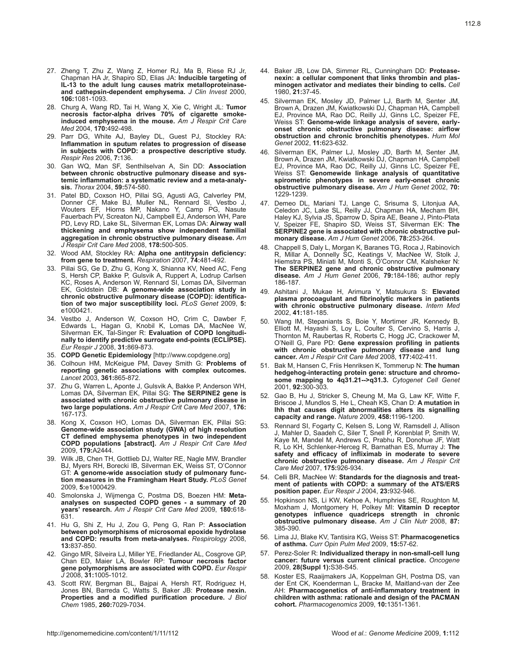- 27. Zheng T, Zhu Z, Wang Z, Homer RJ, Ma B, Riese RJ Jr, Chapman HA Jr, Shapiro SD, Elias JA: **Inducible targeting of IL-13 to the adult lung causes matrix metalloproteinaseand cathepsin-dependent emphysema.** *J Clin Invest* 2000, **106:**1081-1093.
- 28. Churg A, Wang RD, Tai H, Wang X, Xie C, Wright JL: **Tumor necrosis factor-alpha drives 70% of cigarette smokeinduced emphysema in the mouse.** *Am J Respir Crit Care Med* 2004, **170:**492-498.
- 29. Parr DG, White AJ, Bayley DL, Guest PJ, Stockley RA: **Inflammation in sputum relates to progression of disease in subjects with COPD: a prospective descriptive study.** *Respir Res* 2006, **7:**136.
- 30. Gan WQ, Man SF, Senthilselvan A, Sin DD: **Association between chronic obstructive pulmonary disease and systemic inflammation: a systematic review and a meta-analysis.** *Thorax* 2004, **59:**574-580.
- 31. Patel BD, Coxson HO, Pillai SG, Agusti AG, Calverley PM, Donner CF, Make BJ, Muller NL, Rennard SI, Vestbo J, Wouters EF, Hiorns MP, Nakano Y, Camp PG, Nasute Fauerbach PV, Screaton NJ, Campbell EJ, Anderson WH, Pare PD, Levy RD, Lake SL, Silverman EK, Lomas DA: **Airway wall thickening and emphysema show independent familial aggregation in chronic obstructive pulmonary disease.** *Am J Respir Crit Care Med* 2008, **178:**500-505.
- 32. Wood AM, Stockley RA: **Alpha one antitrypsin deficiency: from gene to treatment.** *Respiration* 2007, **74:**481-492.
- 33. Pillai SG, Ge D, Zhu G, Kong X, Shianna KV, Need AC, Feng S, Hersh CP, Bakke P, Gulsvik A, Ruppert A, Lodrup Carlsen KC, Roses A, Anderson W, Rennard SI, Lomas DA, Silverman EK, Goldstein DB: **A genome-wide association study in chronic obstructive pulmonary disease (COPD): identification of two major susceptibility loci.** *PLoS Genet* 2009, **5:** e1000421.
- 34. Vestbo J, Anderson W, Coxson HO, Crim C, Dawber F, Edwards L, Hagan G, Knobil K, Lomas DA, MacNee W, Silverman EK, Tal-Singer R: **Evaluation of COPD longitudinally to identify predictive surrogate end-points (ECLIPSE).** *Eur Respir J* 2008, **31:**869-873.
- 35. **COPD Genetic Epidemiology** [http://www.copdgene.org]
- 36. Colhoun HM, McKeigue PM, Davey Smith G: **Problems of reporting genetic associations with complex outcomes.** *Lancet* 2003, **361:**865-872.
- 37. Zhu G, Warren L, Aponte J, Gulsvik A, Bakke P, Anderson WH, Lomas DA, Silverman EK, Pillai SG: **The SERPINE2 gene is associated with chronic obstructive pulmonary disease in two large populations.** *Am J Respir Crit Care Med* 2007, **176:** 167-173.
- 38. Kong X, Coxson HO, Lomas DA, Silverman EK, Pillai SG: **Genome-wide association study (GWA) of high resolution CT defined emphysema phenotypes in two independent COPD populations [abstract].** *Am J Respir Crit Care Med* 2009, **179:**A2444.
- 39. Wilk JB, Chen TH, Gottlieb DJ, Walter RE, Nagle MW, Brandler BJ, Myers RH, Borecki IB, Silverman EK, Weiss ST, O'Connor GT: **A genome-wide association study of pulmonary function measures in the Framingham Heart Study.** *PLoS Genet*  2009, **5:**e1000429.
- 40. Smolonska J, Wijmenga C, Postma DS, Boezen HM: **Metaanalyses on suspected COPD genes - a summary of 20 years' research.** *Am J Respir Crit Care Med* 2009, **180:**618- 631.
- 41. Hu G, Shi Z, Hu J, Zou G, Peng G, Ran P: **Association between polymorphisms of microsomal epoxide hydrolase and COPD: results from meta-analyses.** *Respirology* 2008, **13:**837-850.
- 42. Gingo MR, Silveira LJ, Miller YE, Friedlander AL, Cosgrove GP, Chan ED, Maier LA, Bowler RP: **Tumour necrosis factor gene polymorphisms are associated with COPD.** *Eur Respir J* 2008, **31:**1005-1012.
- 43. Scott RW, Bergman BL, Bajpai A, Hersh RT, Rodriguez H, Jones BN, Barreda C, Watts S, Baker JB: **Protease nexin. Properties and a modified purification procedure.** *J Biol Chem* 1985, **260:**7029-7034.
- 44. Baker JB, Low DA, Simmer RL, Cunningham DD: **Proteasenexin: a cellular component that links thrombin and plasminogen activator and mediates their binding to cells.** *Cell*  1980, **21:**37-45.
- 45. Silverman EK, Mosley JD, Palmer LJ, Barth M, Senter JM, Brown A, Drazen JM, Kwiatkowski DJ, Chapman HA, Campbell EJ, Province MA, Rao DC, Reilly JJ, Ginns LC, Speizer FE, Weiss ST: **Genome-wide linkage analysis of severe, earlyonset chronic obstructive pulmonary disease: airflow obstruction and chronic bronchitis phenotypes.** *Hum Mol Genet* 2002, **11:**623-632.
- 46. Silverman EK, Palmer LJ, Mosley JD, Barth M, Senter JM, Brown A, Drazen JM, Kwiatkowski DJ, Chapman HA, Campbell EJ, Province MA, Rao DC, Reilly JJ, Ginns LC, Speizer FE, Weiss ST: **Genomewide linkage analysis of quantitative spirometric phenotypes in severe early-onset chronic obstructive pulmonary disease.** *Am J Hum Genet* 2002, **70:** 1229-1239.
- 47. Demeo DL, Mariani TJ, Lange C, Srisuma S, Litonjua AA, Celedon JC, Lake SL, Reilly JJ, Chapman HA, Mecham BH, Haley KJ, Sylvia JS, Sparrow D, Spira AE, Beane J, Pinto-Plata V, Speizer FE, Shapiro SD, Weiss ST, Silverman EK: **The SERPINE2 gene is associated with chronic obstructive pulmonary disease.** *Am J Hum Genet* 2006, **78:**253-264.
- 48. Chappell S, Daly L, Morgan K, Baranes TG, Roca J, Rabinovich R, Millar A, Donnelly SC, Keatings V, MacNee W, Stolk J, Hiemstra PS, Miniati M, Monti S, O'Connor CM, Kalsheker N: **The SERPINE2 gene and chronic obstructive pulmonary disease.** *Am J Hum Genet* 2006, **79:**184-186; author reply 186-187.
- 49. Ashitani J, Mukae H, Arimura Y, Matsukura S: **Elevated plasma procoagulant and fibrinolytic markers in patients with chronic obstructive pulmonary disease.** *Intern Med*  2002, **41:**181-185.
- 50. Wang IM, Stepaniants S, Boie Y, Mortimer JR, Kennedy B, Elliott M, Hayashi S, Loy L, Coulter S, Cervino S, Harris J, Thornton M, Raubertas R, Roberts C, Hogg JC, Crackower M, O'Neill G, Pare PD: **Gene expression profiling in patients with chronic obstructive pulmonary disease and lung cancer.** *Am J Respir Crit Care Med* 2008, **177:**402-411.
- 51. Bak M, Hansen C, Friis Henriksen K, Tommerup N: **The human hedgehog-interacting protein gene: structure and chromosome mapping to 4q31.21-->q31.3.** *Cytogenet Cell Genet*  2001, **92:**300-303.
- 52. Gao B, Hu J, Stricker S, Cheung M, Ma G, Law KF, Witte F, Briscoe J, Mundlos S, He L, Cheah KS, Chan D: **A mutation in Ihh that causes digit abnormalities alters its signalling capacity and range.** *Nature* 2009, **458:**1196-1200.
- 53. Rennard SI, Fogarty C, Kelsen S, Long W, Ramsdell J, Allison J, Mahler D, Saadeh C, Siler T, Snell P, Korenblat P, Smith W, Kaye M, Mandel M, Andrews C, Prabhu R, Donohue JF, Watt R, Lo KH, Schlenker-Herceg R, Barnathan ES, Murray J: **The safety and efficacy of infliximab in moderate to severe chronic obstructive pulmonary disease.** *Am J Respir Crit Care Med* 2007, **175:**926-934.
- 54. Celli BR, MacNee W: **Standards for the diagnosis and treatment of patients with COPD: a summary of the ATS/ERS position paper.** *Eur Respir J* 2004, **23:**932-946.
- 55. Hopkinson NS, Li KW, Kehoe A, Humphries SE, Roughton M, Moxham J, Montgomery H, Polkey MI: **Vitamin D receptor genotypes influence quadriceps strength in chronic obstructive pulmonary disease.** *Am J Clin Nutr* 2008, **87:** 385-390.
- 56. Lima JJ, Blake KV, Tantisira KG, Weiss ST: **Pharmacogenetics of asthma.** *Curr Opin Pulm Med* 2009, **15:**57-62.
- 57. Perez-Soler R: **Individualized therapy in non-small-cell lung cancer: future versus current clinical practice.** *Oncogene*  2009, **28(Suppl 1):**S38-S45.
- 58. Koster ES, Raaijmakers JA, Koppelman GH, Postma DS, van der Ent CK, Koenderman L, Bracke M, Maitland-van der Zee AH: **Pharmacogenetics of anti-inflammatory treatment in children with asthma: rationale and design of the PACMAN cohort.** *Pharmacogenomics* 2009, **10:**1351-1361.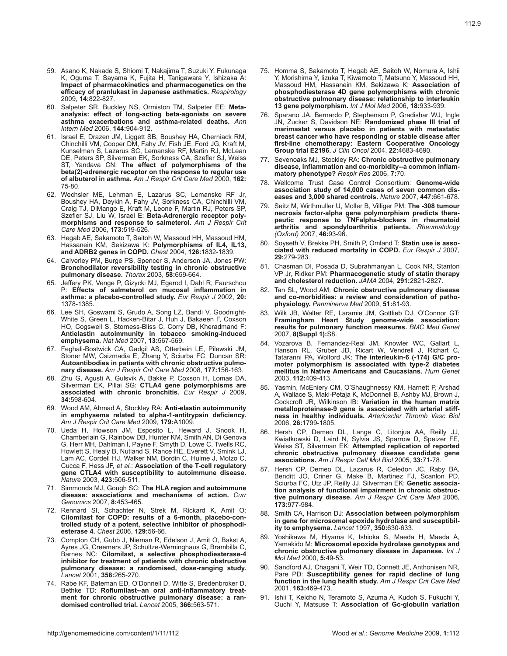- 59. Asano K, Nakade S, Shiomi T, Nakajima T, Suzuki Y, Fukunaga K, Oguma T, Sayama K, Fujita H, Tanigawara Y, Ishizaka A: **Impact of pharmacokinetics and pharmacogenetics on the efficacy of pranlukast in Japanese asthmatics.** *Respirology*  2009, **14:**822-827.
- 60. Salpeter SR, Buckley NS, Ormiston TM, Salpeter EE: **Metaanalysis: effect of long-acting beta-agonists on severe asthma exacerbations and asthma-related deaths.** *Ann Intern Med* 2006, **144:**904-912.
- 61. Israel E, Drazen JM, Liggett SB, Boushey HA, Cherniack RM, Chinchilli VM, Cooper DM, Fahy JV, Fish JE, Ford JG, Kraft M, Kunselman S, Lazarus SC, Lemanske RF, Martin RJ, McLean DE, Peters SP, Silverman EK, Sorkness CA, Szefler SJ, Weiss ST, Yandava CN: **The effect of polymorphisms of the beta(2)-adrenergic receptor on the response to regular use of albuterol in asthma.** *Am J Respir Crit Care Med* 2000, **162:** 75-80.
- 62. Wechsler ME, Lehman E, Lazarus SC, Lemanske RF Jr, Boushey HA, Deykin A, Fahy JV, Sorkness CA, Chinchilli VM, Craig TJ, DiMango E, Kraft M, Leone F, Martin RJ, Peters SP, Szefler SJ, Liu W, Israel E: **Beta-Adrenergic receptor polymorphisms and response to salmeterol.** *Am J Respir Crit Care Med* 2006, **173:**519-526.
- 63. Hegab AE, Sakamoto T, Saitoh W, Massoud HH, Massoud HM, Hassanein KM, Sekizawa K: **Polymorphisms of IL4, IL13, and ADRB2 genes in COPD.** *Chest* 2004, **126:**1832-1839.
- 64. Calverley PM, Burge PS, Spencer S, Anderson JA, Jones PW: **Bronchodilator reversibility testing in chronic obstructive pulmonary disease.** *Thorax* 2003, **58:**659-664.
- 65. Jeffery PK, Venge P, Gizycki MJ, Egerod I, Dahl R, Faurschou P: **Effects of salmeterol on mucosal inflammation in asthma: a placebo-controlled study.** *Eur Respir J* 2002, **20:** 1378-1385.
- 66. Lee SH, Goswami S, Grudo A, Song LZ, Bandi V, Goodnight-White S, Green L, Hacken-Bitar J, Huh J, Bakaeen F, Coxson HO, Cogswell S, Storness-Bliss C, Corry DB, Kheradmand F: **Antielastin autoimmunity in tobacco smoking-induced emphysema.** *Nat Med* 2007, **13:**567-569.
- 67. Feghali-Bostwick CA, Gadgil AS, Otterbein LE, Pilewski JM, Stoner MW, Csizmadia E, Zhang Y, Sciurba FC, Duncan SR: **Autoantibodies in patients with chronic obstructive pulmonary disease.** *Am J Respir Crit Care Med* 2008, **177:**156-163.
- 68. Zhu G, Agusti A, Gulsvik A, Bakke P, Coxson H, Lomas DA, Silverman EK, Pillai SG: **CTLA4 gene polymorphisms are associated with chronic bronchitis.** *Eur Respir J* 2009, **34:**598-604.
- 69. Wood AM, Ahmad A, Stockley RA: **Anti-elastin autoimmunity in emphysema related to alpha-1-antitrypsin deficiency.** *Am J Respir Crit Care Med* 2009, **179:**A1009.
- 70. Ueda H, Howson JM, Esposito L, Heward J, Snook H, Chamberlain G, Rainbow DB, Hunter KM, Smith AN, Di Genova G, Herr MH, Dahlman I, Payne F, Smyth D, Lowe C, Twells RC, Howlett S, Healy B, Nutland S, Rance HE, Everett V, Smink LJ, Lam AC, Cordell HJ, Walker NM, Bordin C, Hulme J, Motzo C, Cucca F, Hess JF, *et al.*: **Association of the T-cell regulatory gene CTLA4 with susceptibility to autoimmune disease.** *Nature* 2003, **423:**506-511.
- 71. Simmonds MJ, Gough SC: **The HLA region and autoimmune disease: associations and mechanisms of action.** *Curr Genomics* 2007, **8:**453-465.
- 72. Rennard SI, Schachter N, Strek M, Rickard K, Amit O: **Cilomilast for COPD: results of a 6-month, placebo-controlled study of a potent, selective inhibitor of phosphodiesterase 4.** *Chest* 2006, **129:**56-66.
- 73. Compton CH, Gubb J, Nieman R, Edelson J, Amit O, Bakst A, Ayres JG, Creemers JP, Schultze-Werninghaus G, Brambilla C, Barnes NC: **Cilomilast, a selective phosphodiesterase-4 inhibitor for treatment of patients with chronic obstructive pulmonary disease: a randomised, dose-ranging study.** *Lancet* 2001, **358:**265-270.
- 74. Rabe KF, Bateman ED, O'Donnell D, Witte S, Bredenbroker D, Bethke TD: **Roflumilast--an oral anti-inflammatory treatment for chronic obstructive pulmonary disease: a randomised controlled trial.** *Lancet* 2005, **366:**563-571.
- 75. Homma S, Sakamoto T, Hegab AE, Saitoh W, Nomura A, Ishii Y, Morishima Y, Iizuka T, Kiwamoto T, Matsuno Y, Massoud HH, Massoud HM, Hassanein KM, Sekizawa K: **Association of phosphodiesterase 4D gene polymorphisms with chronic obstructive pulmonary disease: relationship to interleukin 13 gene polymorphism.** *Int J Mol Med* 2006, **18:**933-939.
- 76. Sparano JA, Bernardo P, Stephenson P, Gradishar WJ, Ingle JN, Zucker S, Davidson NE: **Randomized phase III trial of marimastat versus placebo in patients with metastatic breast cancer who have responding or stable disease after first-line chemotherapy: Eastern Cooperative Oncology Group trial E2196.** *J Clin Oncol* 2004, **22:**4683-4690.
- 77. Sevenoaks MJ, Stockley RA: **Chronic obstructive pulmonary disease, inflammation and co-morbidity--a common inflammatory phenotype?** *Respir Res* 2006, **7:**70.
- 78. Wellcome Trust Case Control Consortium: **Genome-wide association study of 14,000 cases of seven common diseases and 3,000 shared controls.** *Nature* 2007, **447:**661-678.
- 79. Seitz M, Wirthmuller U, Moller B, Villiger PM: **The -308 tumour necrosis factor-alpha gene polymorphism predicts therapeutic response to TNFalpha-blockers in rheumatoid arthritis and spondyloarthritis patients.** *Rheumatology (Oxford)* 2007, **46:**93-96.
- 80. Soyseth V, Brekke PH, Smith P, Omland T: **Statin use is associated with reduced mortality in COPD.** *Eur Respir J* 2007, **29:**279-283.
- 81. Chasman DI, Posada D, Subrahmanyan L, Cook NR, Stanton VP Jr, Ridker PM: **Pharmacogenetic study of statin therapy and cholesterol reduction.** *JAMA* 2004, **291:**2821-2827.
- 82. Tan SL, Wood AM: **Chronic obstructive pulmonary disease and co-morbidities: a review and consideration of pathophysiology.** *Panminerva Med* 2009, **51:**81-93.
- 83. Wilk JB, Walter RE, Laramie JM, Gottlieb DJ, O'Connor GT: **Framingham Heart Study genome-wide association: results for pulmonary function measures.** *BMC Med Genet*  2007, **8(Suppl 1):**S8.
- 84. Vozarova B, Fernandez-Real JM, Knowler WC, Gallart L, Hanson RL, Gruber JD, Ricart W, Vendrell J, Richart C, Tataranni PA, Wolford JK: **The interleukin-6 (-174) G/C promoter polymorphism is associated with type-2 diabetes mellitus in Native Americans and Caucasians.** *Hum Genet*  2003, **112:**409-413.
- 85. Yasmin, McEniery CM, O'Shaughnessy KM, Harnett P, Arshad A, Wallace S, Maki-Petaja K, McDonnell B, Ashby MJ, Brown J, Cockcroft JR, Wilkinson IB: **Variation in the human matrix metalloproteinase-9 gene is associated with arterial stiffness in healthy individuals.** *Arterioscler Thromb Vasc Biol*  2006, **26:**1799-1805.
- 86. Hersh CP, Demeo DL, Lange C, Litonjua AA, Reilly JJ, Kwiatkowski D, Laird N, Sylvia JS, Sparrow D, Speizer FE, Weiss ST, Silverman EK: **Attempted replication of reported chronic obstructive pulmonary disease candidate gene associations.** *Am J Respir Cell Mol Biol* 2005, **33:**71-78.
- 87. Hersh CP, Demeo DL, Lazarus R, Celedon JC, Raby BA, Benditt JO, Criner G, Make B, Martinez FJ, Scanlon PD, Sciurba FC, Utz JP, Reilly JJ, Silverman EK: **Genetic association analysis of functional impairment in chronic obstructive pulmonary disease.** *Am J Respir Crit Care Med* 2006, **173:**977-984.
- 88. Smith CA, Harrison DJ: **Association between polymorphism in gene for microsomal epoxide hydrolase and susceptibility to emphysema.** *Lancet* 1997, **350:**630-633.
- 89. Yoshikawa M, Hiyama K, Ishioka S, Maeda H, Maeda A, Yamakido M: **Microsomal epoxide hydrolase genotypes and chronic obstructive pulmonary disease in Japanese.** *Int J Mol Med* 2000, **5:**49-53.
- 90. Sandford AJ, Chagani T, Weir TD, Connett JE, Anthonisen NR, Pare PD: **Susceptibility genes for rapid decline of lung function in the lung health study.** *Am J Respir Crit Care Med*  2001, **163:**469-473.
- 91. Ishii T, Keicho N, Teramoto S, Azuma A, Kudoh S, Fukuchi Y, Ouchi Y, Matsuse T: **Association of Gc-globulin variation**